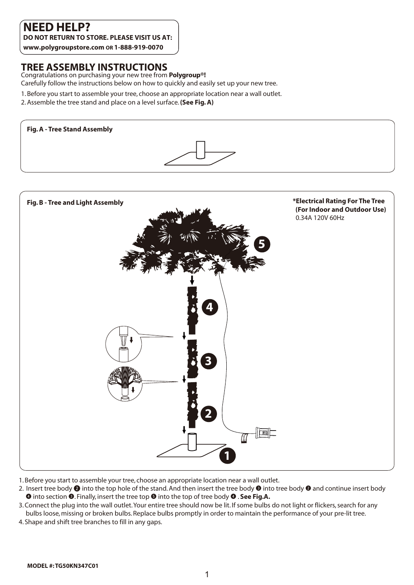# **NEED HELP?**

**DO NOT RETURN TO STORE. PLEASE VISIT US AT:** 

**www.polygroupstore.com OR 1-888-919-0070**

#### **TREE ASSEMBLY INSTRUCTIONS**

Congratulations on purchasing your new tree from **Polygroup®!**  Carefully follow the instructions below on how to quickly and easily set up your new tree.

- 1. Before you start to assemble your tree, choose an appropriate location near a wall outlet.
- 2. Assemble the tree stand and place on a level surface. **(See Fig. A)**





- 1. Before you start to assemble your tree, choose an appropriate location near a wall outlet.
- 2. Insert tree body  $\bullet$  into the top hole of the stand. And then insert the tree body  $\bullet$  into tree body  $\bullet$  and continue insert body  $\bullet$  into section  $\bullet$ . Finally, insert the tree top  $\bullet$  into the top of tree body  $\bullet$  . See Fig.A.
- 3. Connect the plug into the wall outlet. Your entire tree should now be lit. If some bulbs do not light or flickers, search for any bulbs loose, missing or broken bulbs. Replace bulbs promptly in order to maintain the performance of your pre-lit tree.
- 4. Shape and shift tree branches to fill in any gaps.